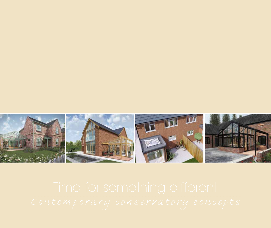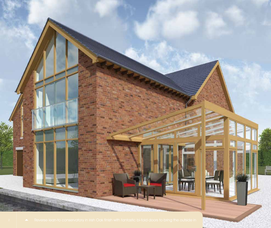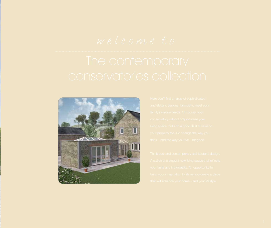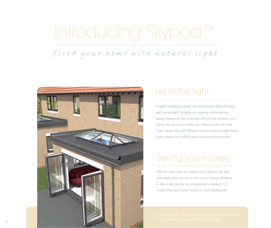# Introducing Skypod™

*flood your home with natural light*



## Let in the light...

Imagine creating a stylish new living space that's flooded with natural light. Imagine an inspiring contemporary design feature for flat roofs that will not only enhance your home, but save you money too. Some would call it the 'wow' factor. We call it Skypod: an innovative skylight that's been created for today's style-conscious homeowner.

## Saving you money

With its clean lines and sleek looks, Skypod will add real height and volume to your room. Energy efficiency is also a key priority: an exceptional U-value of 1.0 means that you'll save money on your heating bills.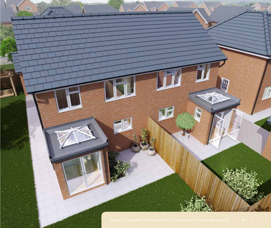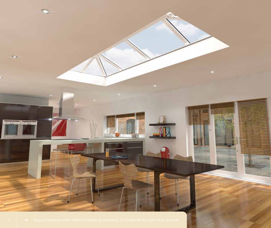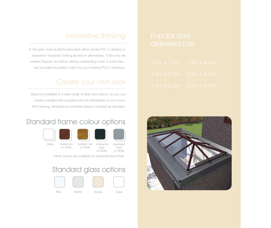#### Innovative thinking

In the past, most skylights have been either clunky PVC-U designs or expensive 'industrial' looking aluminium alternatives. That's why we created Skypod. As well as offering outstanding looks, it costs less – and provides the perfect match for your existing PVC-U windows.

#### Create your own look

Skypod is available in a wide range of sizes and colours, so you can create a skylight that complements the individuality of your home. Self-cleaning, temperature controlled glass is included as standard.

#### Standard frame colour options







White Rosewood Golden-Oak Anthracite Rosewood on White

Grey on White on White

Moondust Grey on White

Other colours are available on extended lead times

#### Standard glass options



- 
- 

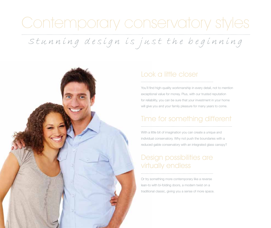## Contemporary conservatory styles

*Stunning design is just the beginning*



#### Look a little closer

You'll find high-quality workmanship in every detail, not to mention exceptional value for money. Plus, with our trusted reputation for reliability, you can be sure that your investment in your home will give you and your family pleasure for many years to come.

#### Time for something different

With a little bit of imagination you can create a unique and individual conservatory. Why not push the boundaries with a reduced gable conservatory with an integrated glass canopy?

#### Design possibilities are virtually endless

Or try something more contemporary like a reverse lean-to with bi-folding doors, a modern twist on a traditional classic, giving you a sense of more space.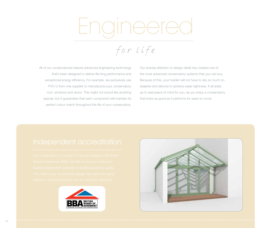# Engineere

*for life*

All of our conservatories feature advanced engineering technology that's been designed to deliver life-long performance and exceptional energy efficiency. For example, we exclusively use PVC-U from one supplier to manufacture your conservatory roof, windows and doors. This might not sound like anything special, but it guarantees that each component will maintain its perfect colour match throughout the life of your conservatory.

Our precise attention to design detail has created one of the most advanced conservatory systems that you can buy. Because of this, your builder will not have to rely so much on sealants and silicone to achieve water tightness. It all adds up to real peace of mind for you, as you enjoy a conservatory that looks as good as it performs for years to come.



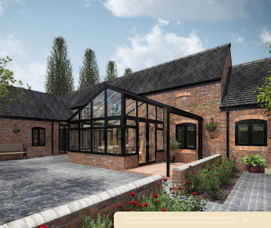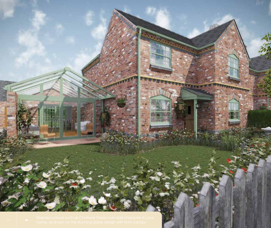**TANK** 

 $\Delta$ 

**TENNISERIA** 

**THARRES** 

**CARRICULUM**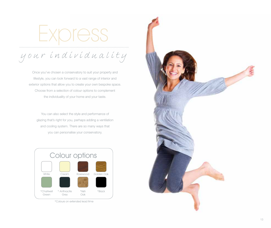Express

*your individuality*

Once you've chosen a conservatory to suit your property and lifestyle, you can look forward to a vast range of interior and exterior options that allow you to create your own bespoke space. Choose from a selection of colour options to complement the individuality of your home and your taste.

You can also select the style and performance of glazing that's right for you, perhaps adding a ventilation and cooling system. There are so many ways that you can personalise your conservatory.



\*Colours on extended lead time

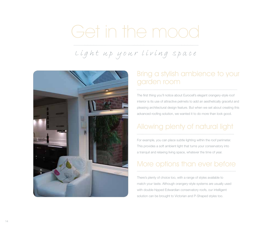# Get in the mood

## *Light up your living space*



#### Bring a stylish ambience to your garden room

The first thing you'll notice about Eurocell's elegant orangery-style roof interior is its use of attractive pelmets to add an aesthetically graceful and pleasing architectural design feature. But when we set about creating this advanced roofing solution, we wanted it to do more than look good.

#### Allowing plenty of natural light

For example, you can place subtle lighting within the roof perimeter. This provides a soft ambient light that turns your conservatory into a tranquil and relaxing living space, whatever the time of year.

#### More options than ever before

There's plenty of choice too, with a range of styles available to match your taste. Although orangery-style systems are usually used with double-hipped Edwardian conservatory roofs, our intelligent solution can be brought to Victorian and P-Shaped styles too.